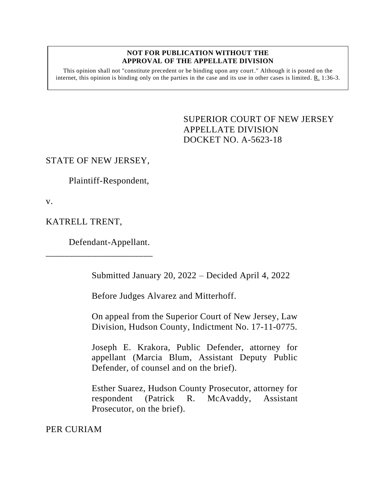#### **NOT FOR PUBLICATION WITHOUT THE APPROVAL OF THE APPELLATE DIVISION**

This opinion shall not "constitute precedent or be binding upon any court." Although it is posted on the internet, this opinion is binding only on the parties in the case and its use in other cases is limited. R. 1:36-3.

> <span id="page-0-0"></span>SUPERIOR COURT OF NEW JERSEY APPELLATE DIVISION DOCKET NO. A-5623-18

## STATE OF NEW JERSEY,

Plaintiff-Respondent,

v.

KATRELL TRENT,

Defendant-Appellant.

\_\_\_\_\_\_\_\_\_\_\_\_\_\_\_\_\_\_\_\_\_\_\_

Submitted January 20, 2022 – Decided April 4, 2022

Before Judges Alvarez and Mitterhoff.

On appeal from the Superior Court of New Jersey, Law Division, Hudson County, Indictment No. 17-11-0775.

Joseph E. Krakora, Public Defender, attorney for appellant (Marcia Blum, Assistant Deputy Public Defender, of counsel and on the brief).

Esther Suarez, Hudson County Prosecutor, attorney for respondent (Patrick R. McAvaddy, Assistant Prosecutor, on the brief).

PER CURIAM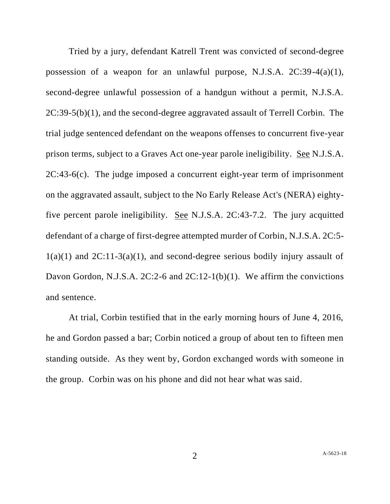Tried by a jury, defendant Katrell Trent was convicted of second-degree possession of a weapon for an unlawful purpose, N.J.S.A. 2C:39-4(a)(1), second-degree unlawful possession of a handgun without a permit, N.J.S.A. 2C:39-5(b)(1), and the second-degree aggravated assault of Terrell Corbin. The trial judge sentenced defendant on the weapons offenses to concurrent five-year prison terms, subject to a Graves Act one-year parole ineligibility. See N.J.S.A. 2C:43-6(c). The judge imposed a concurrent eight-year term of imprisonment on the aggravated assault, subject to the No Early Release Act's (NERA) eightyfive percent parole ineligibility. See N.J.S.A. 2C:43-7.2. The jury acquitted defendant of a charge of first-degree attempted murder of Corbin, N.J.S.A. 2C:5-  $1(a)(1)$  and  $2C:11-3(a)(1)$ , and second-degree serious bodily injury assault of Davon Gordon, N.J.S.A. 2C:2-6 and 2C:12-1(b)(1). We affirm the convictions and sentence.

At trial, Corbin testified that in the early morning hours of June 4, 2016, he and Gordon passed a bar; Corbin noticed a group of about ten to fifteen men standing outside. As they went by, Gordon exchanged words with someone in the group. Corbin was on his phone and did not hear what was said.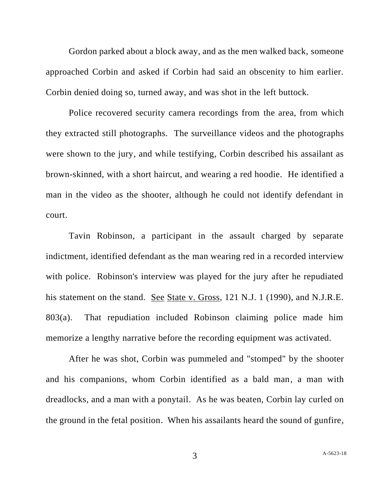Gordon parked about a block away, and as the men walked back, someone approached Corbin and asked if Corbin had said an obscenity to him earlier. Corbin denied doing so, turned away, and was shot in the left buttock.

Police recovered security camera recordings from the area, from which they extracted still photographs. The surveillance videos and the photographs were shown to the jury, and while testifying, Corbin described his assailant as brown-skinned, with a short haircut, and wearing a red hoodie. He identified a man in the video as the shooter, although he could not identify defendant in court.

Tavin Robinson, a participant in the assault charged by separate indictment, identified defendant as the man wearing red in a recorded interview with police. Robinson's interview was played for the jury after he repudiated his statement on the stand. See State v. Gross, 121 N.J. 1 (1990), and N.J.R.E. 803(a). That repudiation included Robinson claiming police made him memorize a lengthy narrative before the recording equipment was activated.

After he was shot, Corbin was pummeled and "stomped" by the shooter and his companions, whom Corbin identified as a bald man, a man with dreadlocks, and a man with a ponytail. As he was beaten, Corbin lay curled on the ground in the fetal position. When his assailants heard the sound of gunfire,

3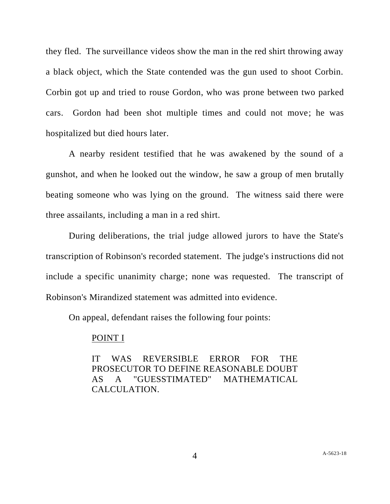they fled. The surveillance videos show the man in the red shirt throwing away a black object, which the State contended was the gun used to shoot Corbin. Corbin got up and tried to rouse Gordon, who was prone between two parked cars. Gordon had been shot multiple times and could not move; he was hospitalized but died hours later.

A nearby resident testified that he was awakened by the sound of a gunshot, and when he looked out the window, he saw a group of men brutally beating someone who was lying on the ground. The witness said there were three assailants, including a man in a red shirt.

During deliberations, the trial judge allowed jurors to have the State's transcription of Robinson's recorded statement. The judge's instructions did not include a specific unanimity charge; none was requested. The transcript of Robinson's Mirandized statement was admitted into evidence.

On appeal, defendant raises the following four points:

### POINT I

IT WAS REVERSIBLE ERROR FOR THE PROSECUTOR TO DEFINE REASONABLE DOUBT AS A "GUESSTIMATED" MATHEMATICAL CALCULATION.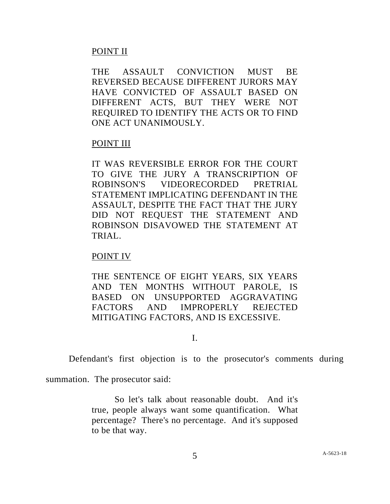## POINT II

THE ASSAULT CONVICTION MUST BE REVERSED BECAUSE DIFFERENT JURORS MAY HAVE CONVICTED OF ASSAULT BASED ON DIFFERENT ACTS, BUT THEY WERE NOT REQUIRED TO IDENTIFY THE ACTS OR TO FIND ONE ACT UNANIMOUSLY.

## POINT III

IT WAS REVERSIBLE ERROR FOR THE COURT TO GIVE THE JURY A TRANSCRIPTION OF ROBINSON'S VIDEORECORDED PRETRIAL STATEMENT IMPLICATING DEFENDANT IN THE ASSAULT, DESPITE THE FACT THAT THE JURY DID NOT REQUEST THE STATEMENT AND ROBINSON DISAVOWED THE STATEMENT AT TRIAL.

# POINT IV

THE SENTENCE OF EIGHT YEARS, SIX YEARS AND TEN MONTHS WITHOUT PAROLE, IS BASED ON UNSUPPORTED AGGRAVATING FACTORS AND IMPROPERLY REJECTED MITIGATING FACTORS, AND IS EXCESSIVE.

I.

Defendant's first objection is to the prosecutor's comments during

summation. The prosecutor said:

So let's talk about reasonable doubt. And it's true, people always want some quantification. What percentage? There's no percentage. And it's supposed to be that way.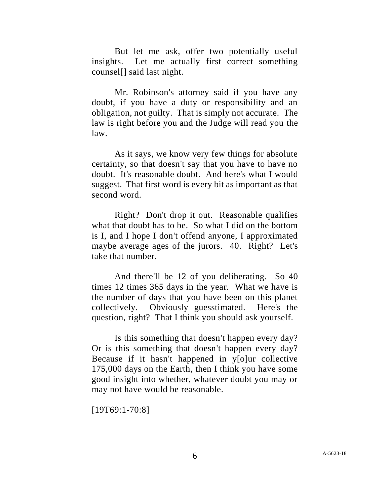But let me ask, offer two potentially useful insights. Let me actually first correct something counsel[] said last night.

Mr. Robinson's attorney said if you have any doubt, if you have a duty or responsibility and an obligation, not guilty. That is simply not accurate. The law is right before you and the Judge will read you the law.

As it says, we know very few things for absolute certainty, so that doesn't say that you have to have no doubt. It's reasonable doubt. And here's what I would suggest. That first word is every bit as important as that second word.

Right? Don't drop it out. Reasonable qualifies what that doubt has to be. So what I did on the bottom is I, and I hope I don't offend anyone, I approximated maybe average ages of the jurors. 40. Right? Let's take that number.

And there'll be 12 of you deliberating. So 40 times 12 times 365 days in the year. What we have is the number of days that you have been on this planet collectively. Obviously guesstimated. Here's the question, right? That I think you should ask yourself.

Is this something that doesn't happen every day? Or is this something that doesn't happen every day? Because if it hasn't happened in y[o]ur collective 175,000 days on the Earth, then I think you have some good insight into whether, whatever doubt you may or may not have would be reasonable.

[19T69:1-70:8]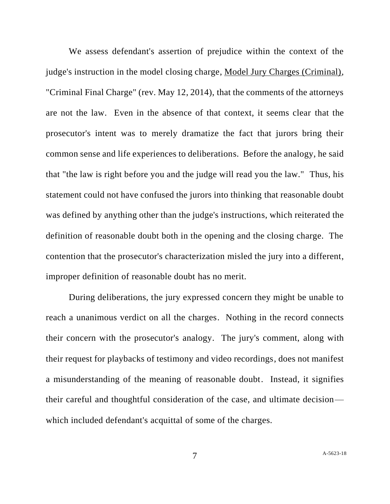We assess defendant's assertion of prejudice within the context of the judge's instruction in the model closing charge, Model Jury Charges (Criminal), "Criminal Final Charge" (rev. May 12, 2014), that the comments of the attorneys are not the law. Even in the absence of that context, it seems clear that the prosecutor's intent was to merely dramatize the fact that jurors bring their common sense and life experiences to deliberations. Before the analogy, he said that "the law is right before you and the judge will read you the law." Thus, his statement could not have confused the jurors into thinking that reasonable doubt was defined by anything other than the judge's instructions, which reiterated the definition of reasonable doubt both in the opening and the closing charge. The contention that the prosecutor's characterization misled the jury into a different, improper definition of reasonable doubt has no merit.

During deliberations, the jury expressed concern they might be unable to reach a unanimous verdict on all the charges. Nothing in the record connects their concern with the prosecutor's analogy. The jury's comment, along with their request for playbacks of testimony and video recordings, does not manifest a misunderstanding of the meaning of reasonable doubt. Instead, it signifies their careful and thoughtful consideration of the case, and ultimate decision which included defendant's acquittal of some of the charges.

7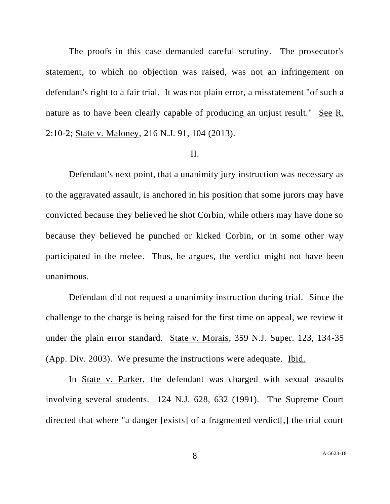The proofs in this case demanded careful scrutiny. The prosecutor's statement, to which no objection was raised, was not an infringement on defendant's right to a fair trial. It was not plain error, a misstatement "of such a nature as to have been clearly capable of producing an unjust result." See R. 2:10-2; State v. Maloney, 216 N.J. 91, 104 (2013).

#### II.

Defendant's next point, that a unanimity jury instruction was necessary as to the aggravated assault, is anchored in his position that some jurors may have convicted because they believed he shot Corbin, while others may have done so because they believed he punched or kicked Corbin, or in some other way participated in the melee. Thus, he argues, the verdict might not have been unanimous.

Defendant did not request a unanimity instruction during trial. Since the challenge to the charge is being raised for the first time on appeal, we review it under the plain error standard. State v. Morais, 359 N.J. Super. 123, 134-35 (App. Div. 2003). We presume the instructions were adequate. Ibid.

In State v. Parker, the defendant was charged with sexual assaults involving several students. 124 N.J. 628, 632 (1991). The Supreme Court directed that where "a danger [exists] of a fragmented verdict[,] the trial court

8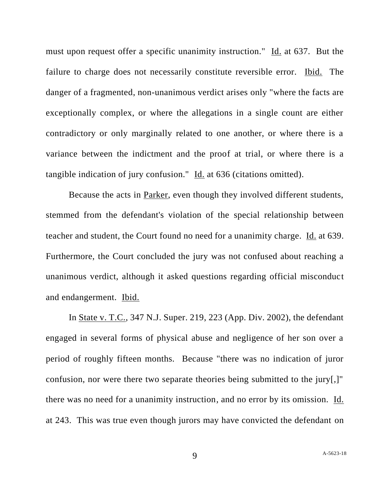must upon request offer a specific unanimity instruction." Id. at 637. But the failure to charge does not necessarily constitute reversible error. Ibid. The danger of a fragmented, non-unanimous verdict arises only "where the facts are exceptionally complex, or where the allegations in a single count are either contradictory or only marginally related to one another, or where there is a variance between the indictment and the proof at trial, or where there is a tangible indication of jury confusion." Id. at 636 (citations omitted).

Because the acts in Parker, even though they involved different students, stemmed from the defendant's violation of the special relationship between teacher and student, the Court found no need for a unanimity charge. Id. at 639. Furthermore, the Court concluded the jury was not confused about reaching a unanimous verdict, although it asked questions regarding official misconduct and endangerment. Ibid.

In State v. T.C., 347 N.J. Super. 219, 223 (App. Div. 2002), the defendant engaged in several forms of physical abuse and negligence of her son over a period of roughly fifteen months. Because "there was no indication of juror confusion, nor were there two separate theories being submitted to the jury[,]" there was no need for a unanimity instruction, and no error by its omission. Id. at 243. This was true even though jurors may have convicted the defendant on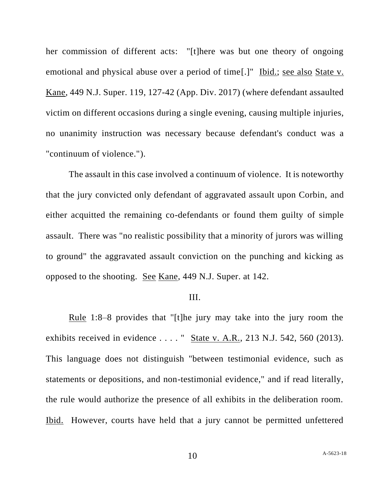her commission of different acts: "[t]here was but one theory of ongoing emotional and physical abuse over a period of time[.]" Ibid.; see also State v. Kane, 449 N.J. Super. 119, 127-42 (App. Div. 2017) (where defendant assaulted victim on different occasions during a single evening, causing multiple injuries, no unanimity instruction was necessary because defendant's conduct was a "continuum of violence.").

The assault in this case involved a continuum of violence. It is noteworthy that the jury convicted only defendant of aggravated assault upon Corbin, and either acquitted the remaining co-defendants or found them guilty of simple assault. There was "no realistic possibility that a minority of jurors was willing to ground" the aggravated assault conviction on the punching and kicking as opposed to the shooting. See Kane, 449 N.J. Super. at 142.

#### III.

Rule 1:8–8 provides that "[t]he jury may take into the jury room the exhibits received in evidence . . . . " State v. A.R., 213 N.J. 542, 560 (2013). This language does not distinguish "between testimonial evidence, such as statements or depositions, and non-testimonial evidence," and if read literally, the rule would authorize the presence of all exhibits in the deliberation room. Ibid. However, courts have held that a jury cannot be permitted unfettered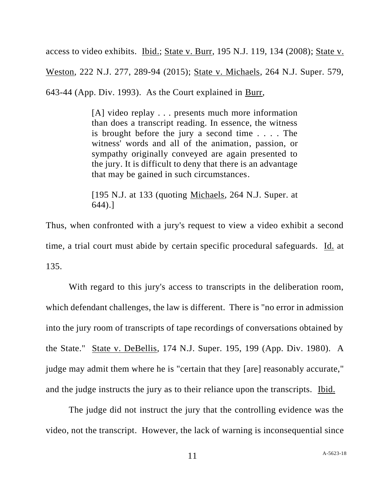access to video exhibits. Ibid.; State v. Burr, 195 N.J. 119, 134 (2008); State v.

Weston, 222 N.J. 277, 289-94 (2015); State v. Michaels, 264 N.J. Super. 579,

643-44 (App. Div. 1993). As the Court explained in Burr,

[A] video replay . . . presents much more information than does a transcript reading. In essence, the witness is brought before the jury a second time . . . . The witness' words and all of the animation, passion, or sympathy originally conveyed are again presented to the jury. It is difficult to deny that there is an advantage that may be gained in such circumstances.

[195 N.J. at 133 (quoting Michaels, 264 N.J. Super. at 644).]

Thus, when confronted with a jury's request to view a video exhibit a second time, a trial court must abide by certain specific procedural safeguards. Id. at 135.

With regard to this jury's access to transcripts in the deliberation room, which defendant challenges, the law is different. There is "no error in admission into the jury room of transcripts of tape recordings of conversations obtained by the State." State v. DeBellis, 174 N.J. Super. 195, 199 (App. Div. 1980). A judge may admit them where he is "certain that they [are] reasonably accurate," and the judge instructs the jury as to their reliance upon the transcripts. Ibid.

The judge did not instruct the jury that the controlling evidence was the video, not the transcript. However, the lack of warning is inconsequential since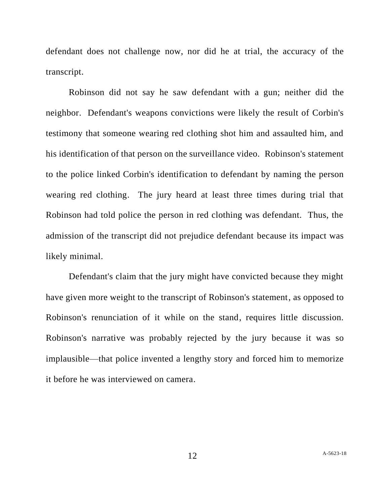defendant does not challenge now, nor did he at trial, the accuracy of the transcript.

Robinson did not say he saw defendant with a gun; neither did the neighbor. Defendant's weapons convictions were likely the result of Corbin's testimony that someone wearing red clothing shot him and assaulted him, and his identification of that person on the surveillance video. Robinson's statement to the police linked Corbin's identification to defendant by naming the person wearing red clothing. The jury heard at least three times during trial that Robinson had told police the person in red clothing was defendant. Thus, the admission of the transcript did not prejudice defendant because its impact was likely minimal.

Defendant's claim that the jury might have convicted because they might have given more weight to the transcript of Robinson's statement, as opposed to Robinson's renunciation of it while on the stand, requires little discussion. Robinson's narrative was probably rejected by the jury because it was so implausible—that police invented a lengthy story and forced him to memorize it before he was interviewed on camera.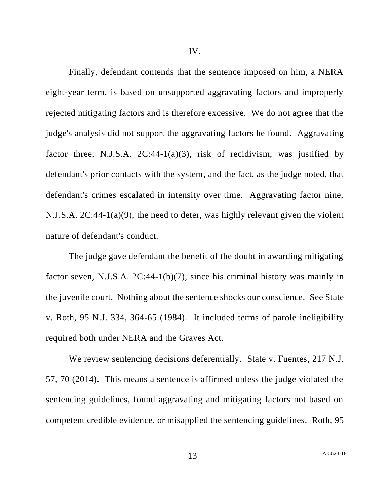Finally, defendant contends that the sentence imposed on him, a NERA eight-year term, is based on unsupported aggravating factors and improperly rejected mitigating factors and is therefore excessive. We do not agree that the judge's analysis did not support the aggravating factors he found. Aggravating factor three, N.J.S.A.  $2C:44-1(a)(3)$ , risk of recidivism, was justified by defendant's prior contacts with the system, and the fact, as the judge noted, that defendant's crimes escalated in intensity over time. Aggravating factor nine, N.J.S.A. 2C:44-1(a)(9), the need to deter, was highly relevant given the violent nature of defendant's conduct.

The judge gave defendant the benefit of the doubt in awarding mitigating factor seven, N.J.S.A. 2C:44-1(b)(7), since his criminal history was mainly in the juvenile court. Nothing about the sentence shocks our conscience. See State v. Roth, 95 N.J. 334, 364-65 (1984). It included terms of parole ineligibility required both under NERA and the Graves Act.

We review sentencing decisions deferentially. State v. Fuentes, 217 N.J. 57, 70 (2014). This means a sentence is affirmed unless the judge violated the sentencing guidelines, found aggravating and mitigating factors not based on competent credible evidence, or misapplied the sentencing guidelines. Roth, 95